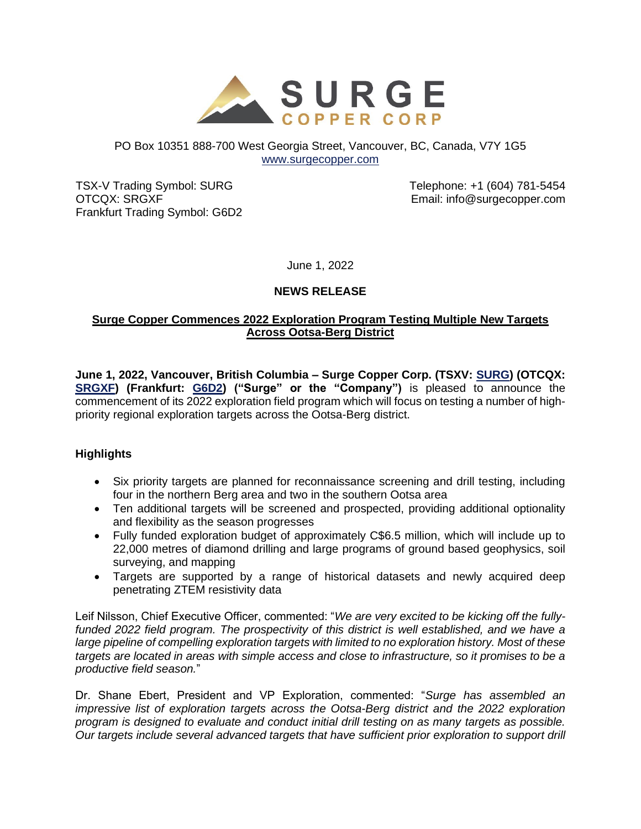

#### PO Box 10351 888-700 West Georgia Street, Vancouver, BC, Canada, V7Y 1G5 [www.surgecopper.com](http://www.surgecopper.com/)

TSX-V Trading Symbol: SURG OTCQX: SRGXF Frankfurt Trading Symbol: G6D2 Telephone: +1 (604) 781-5454 Email: info@surgecopper.com

June 1, 2022

## **NEWS RELEASE**

### **Surge Copper Commences 2022 Exploration Program Testing Multiple New Targets Across Ootsa-Berg District**

**June 1, 2022, Vancouver, British Columbia – Surge Copper Corp. (TSXV: [SURG\)](https://money.tmx.com/en/quote/SURG) (OTCQX: [SRGXF\)](https://www.otcmarkets.com/stock/SRGXF/overview) (Frankfurt: [G6D2\)](https://www.boerse-frankfurt.de/equity/surge-copper-corp) ("Surge" or the "Company")** is pleased to announce the commencement of its 2022 exploration field program which will focus on testing a number of highpriority regional exploration targets across the Ootsa-Berg district.

### **Highlights**

- Six priority targets are planned for reconnaissance screening and drill testing, including four in the northern Berg area and two in the southern Ootsa area
- Ten additional targets will be screened and prospected, providing additional optionality and flexibility as the season progresses
- Fully funded exploration budget of approximately C\$6.5 million, which will include up to 22,000 metres of diamond drilling and large programs of ground based geophysics, soil surveying, and mapping
- Targets are supported by a range of historical datasets and newly acquired deep penetrating ZTEM resistivity data

Leif Nilsson, Chief Executive Officer, commented: "*We are very excited to be kicking off the fullyfunded 2022 field program. The prospectivity of this district is well established, and we have a large pipeline of compelling exploration targets with limited to no exploration history. Most of these targets are located in areas with simple access and close to infrastructure, so it promises to be a productive field season.*"

Dr. Shane Ebert, President and VP Exploration, commented: "*Surge has assembled an impressive list of exploration targets across the Ootsa-Berg district and the 2022 exploration program is designed to evaluate and conduct initial drill testing on as many targets as possible. Our targets include several advanced targets that have sufficient prior exploration to support drill*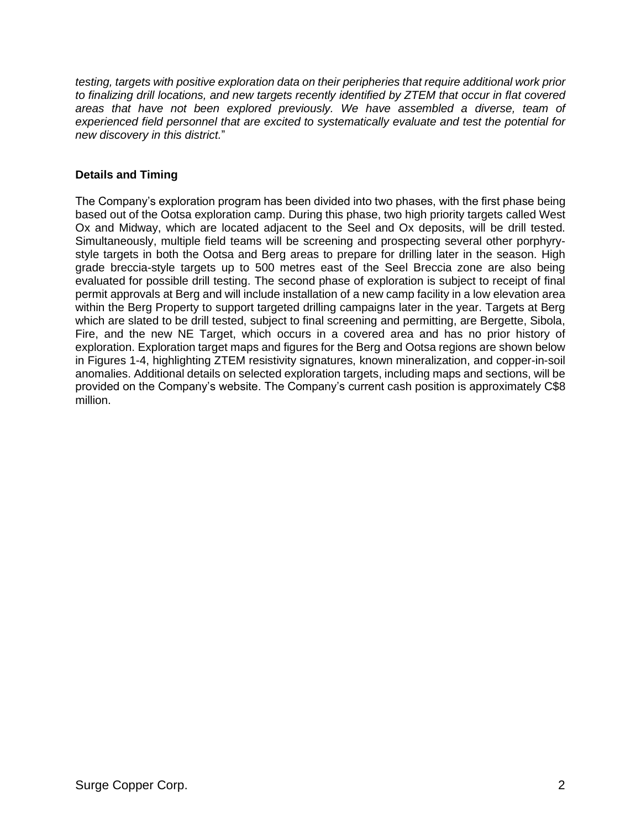*testing, targets with positive exploration data on their peripheries that require additional work prior to finalizing drill locations, and new targets recently identified by ZTEM that occur in flat covered areas that have not been explored previously. We have assembled a diverse, team of experienced field personnel that are excited to systematically evaluate and test the potential for new discovery in this district.*"

## **Details and Timing**

The Company's exploration program has been divided into two phases, with the first phase being based out of the Ootsa exploration camp. During this phase, two high priority targets called West Ox and Midway, which are located adjacent to the Seel and Ox deposits, will be drill tested. Simultaneously, multiple field teams will be screening and prospecting several other porphyrystyle targets in both the Ootsa and Berg areas to prepare for drilling later in the season. High grade breccia-style targets up to 500 metres east of the Seel Breccia zone are also being evaluated for possible drill testing. The second phase of exploration is subject to receipt of final permit approvals at Berg and will include installation of a new camp facility in a low elevation area within the Berg Property to support targeted drilling campaigns later in the year. Targets at Berg which are slated to be drill tested, subject to final screening and permitting, are Bergette, Sibola, Fire, and the new NE Target, which occurs in a covered area and has no prior history of exploration. Exploration target maps and figures for the Berg and Ootsa regions are shown below in Figures 1-4, highlighting ZTEM resistivity signatures, known mineralization, and copper-in-soil anomalies. Additional details on selected exploration targets, including maps and sections, will be provided on the Company's website. The Company's current cash position is approximately C\$8 million.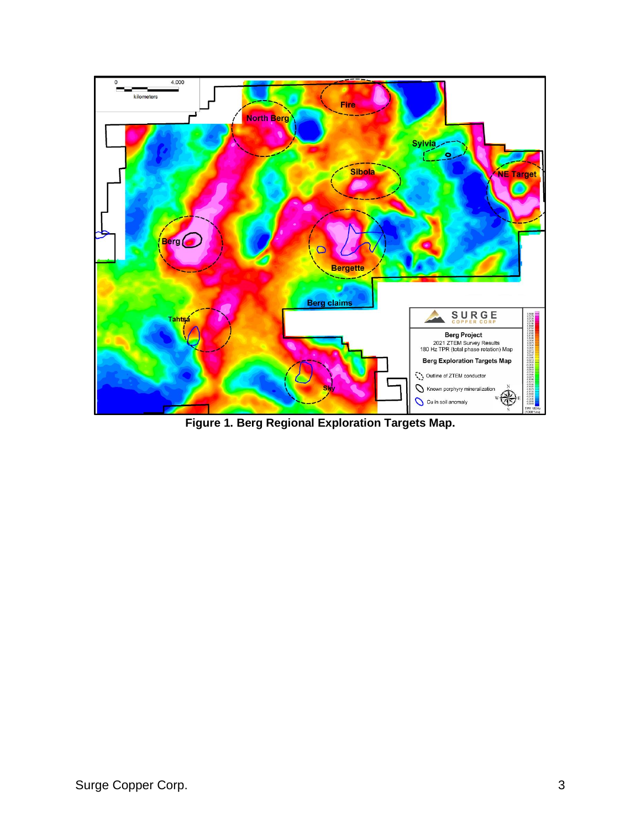

**Figure 1. Berg Regional Exploration Targets Map.**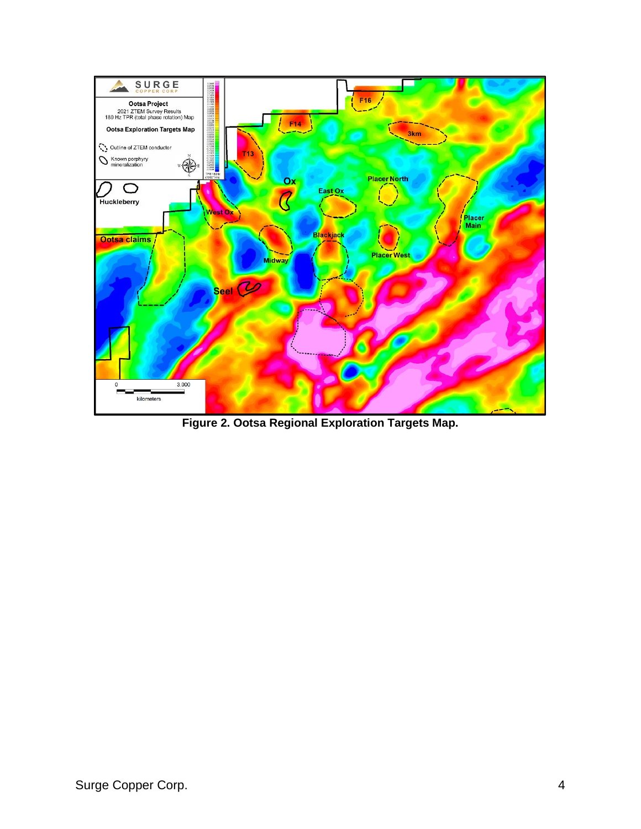

**Figure 2. Ootsa Regional Exploration Targets Map.**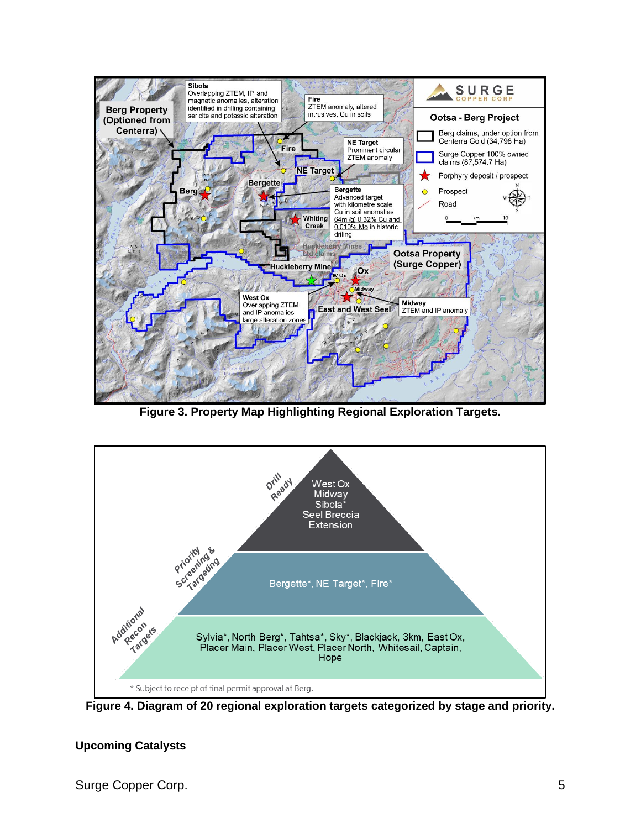

**Figure 3. Property Map Highlighting Regional Exploration Targets.**



**Figure 4. Diagram of 20 regional exploration targets categorized by stage and priority.**

# **Upcoming Catalysts**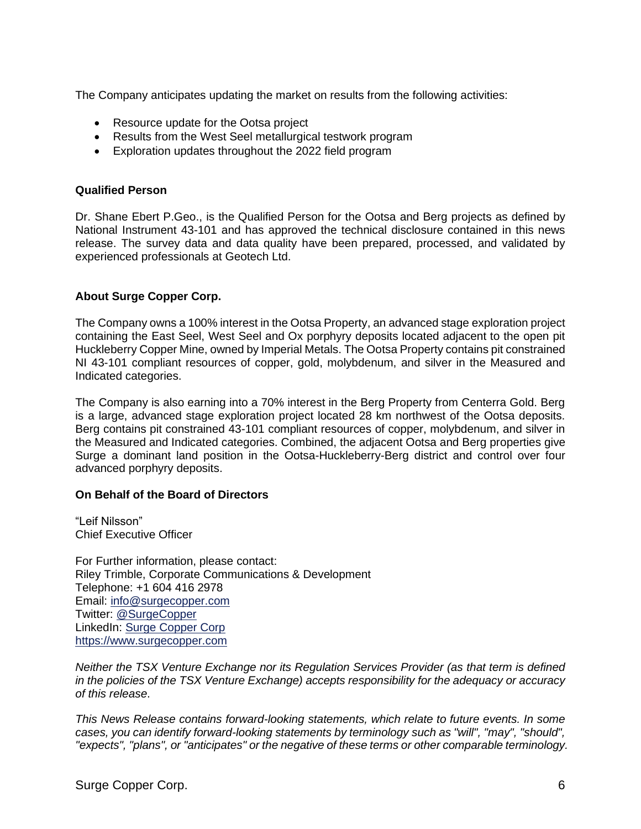The Company anticipates updating the market on results from the following activities:

- Resource update for the Ootsa project
- Results from the West Seel metallurgical testwork program
- Exploration updates throughout the 2022 field program

#### **Qualified Person**

Dr. Shane Ebert P.Geo., is the Qualified Person for the Ootsa and Berg projects as defined by National Instrument 43-101 and has approved the technical disclosure contained in this news release. The survey data and data quality have been prepared, processed, and validated by experienced professionals at Geotech Ltd.

#### **About Surge Copper Corp.**

The Company owns a 100% interest in the Ootsa Property, an advanced stage exploration project containing the East Seel, West Seel and Ox porphyry deposits located adjacent to the open pit Huckleberry Copper Mine, owned by Imperial Metals. The Ootsa Property contains pit constrained NI 43-101 compliant resources of copper, gold, molybdenum, and silver in the Measured and Indicated categories.

The Company is also earning into a 70% interest in the Berg Property from Centerra Gold. Berg is a large, advanced stage exploration project located 28 km northwest of the Ootsa deposits. Berg contains pit constrained 43-101 compliant resources of copper, molybdenum, and silver in the Measured and Indicated categories. Combined, the adjacent Ootsa and Berg properties give Surge a dominant land position in the Ootsa-Huckleberry-Berg district and control over four advanced porphyry deposits.

#### **On Behalf of the Board of Directors**

"Leif Nilsson" Chief Executive Officer

For Further information, please contact: Riley Trimble, Corporate Communications & Development Telephone: +1 604 416 2978 Email: [info@surgecopper.com](mailto:info@surgecopper.com) Twitter: [@SurgeCopper](http://www.twitter.com/SurgeCopper) LinkedIn: [Surge Copper Corp](https://www.linkedin.com/company/surge-copper-corp/) [https://www.surgecopper.com](https://www.surgecopper.com/)

*Neither the TSX Venture Exchange nor its Regulation Services Provider (as that term is defined in the policies of the TSX Venture Exchange) accepts responsibility for the adequacy or accuracy of this release*.

*This News Release contains forward-looking statements, which relate to future events. In some cases, you can identify forward-looking statements by terminology such as "will", "may", "should", "expects", "plans", or "anticipates" or the negative of these terms or other comparable terminology.*